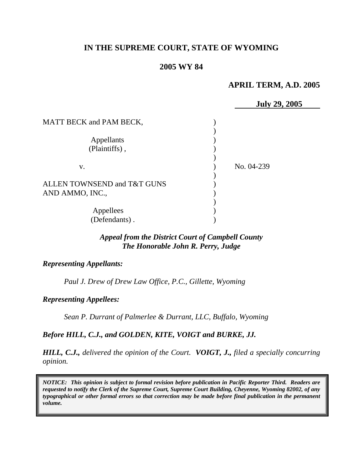# **IN THE SUPREME COURT, STATE OF WYOMING**

# **2005 WY 84**

## **APRIL TERM, A.D. 2005**

|                                | <b>July 29, 2005</b> |
|--------------------------------|----------------------|
| <b>MATT BECK and PAM BECK,</b> |                      |
|                                |                      |
| Appellants                     |                      |
| (Plaintiffs),                  |                      |
|                                |                      |
| V.                             | No. 04-239           |
|                                |                      |
| ALLEN TOWNSEND and T&T GUNS    |                      |
| AND AMMO, INC.,                |                      |
|                                |                      |
| Appellees                      |                      |
| (Defendants).                  |                      |

### *Appeal from the District Court of Campbell County The Honorable John R. Perry, Judge*

#### *Representing Appellants:*

*Paul J. Drew of Drew Law Office, P.C., Gillette, Wyoming* 

*Representing Appellees:*

*Sean P. Durrant of Palmerlee & Durrant, LLC, Buffalo, Wyoming* 

### *Before HILL, C.J., and GOLDEN, KITE, VOIGT and BURKE, JJ.*

*HILL, C.J., delivered the opinion of the Court. VOIGT, J., filed a specially concurring opinion.* 

*NOTICE: This opinion is subject to formal revision before publication in Pacific Reporter Third. Readers are requested to notify the Clerk of the Supreme Court, Supreme Court Building, Cheyenne, Wyoming 82002, of any typographical or other formal errors so that correction may be made before final publication in the permanent volume.*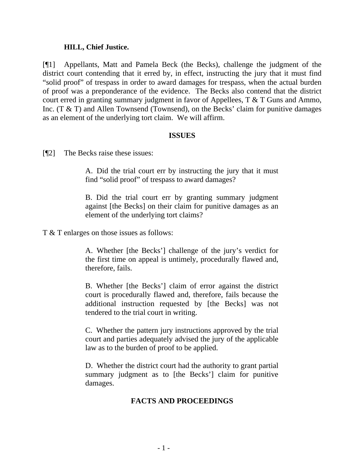### **HILL, Chief Justice.**

[¶1] Appellants, Matt and Pamela Beck (the Becks), challenge the judgment of the district court contending that it erred by, in effect, instructing the jury that it must find "solid proof" of trespass in order to award damages for trespass, when the actual burden of proof was a preponderance of the evidence. The Becks also contend that the district court erred in granting summary judgment in favor of Appellees, T & T Guns and Ammo, Inc. (T & T) and Allen Townsend (Townsend), on the Becks' claim for punitive damages as an element of the underlying tort claim. We will affirm.

### **ISSUES**

[¶2] The Becks raise these issues:

A. Did the trial court err by instructing the jury that it must find "solid proof" of trespass to award damages?

B. Did the trial court err by granting summary judgment against [the Becks] on their claim for punitive damages as an element of the underlying tort claims?

T & T enlarges on those issues as follows:

A. Whether [the Becks'] challenge of the jury's verdict for the first time on appeal is untimely, procedurally flawed and, therefore, fails.

B. Whether [the Becks'] claim of error against the district court is procedurally flawed and, therefore, fails because the additional instruction requested by [the Becks] was not tendered to the trial court in writing.

C. Whether the pattern jury instructions approved by the trial court and parties adequately advised the jury of the applicable law as to the burden of proof to be applied.

D. Whether the district court had the authority to grant partial summary judgment as to [the Becks'] claim for punitive damages.

### **FACTS AND PROCEEDINGS**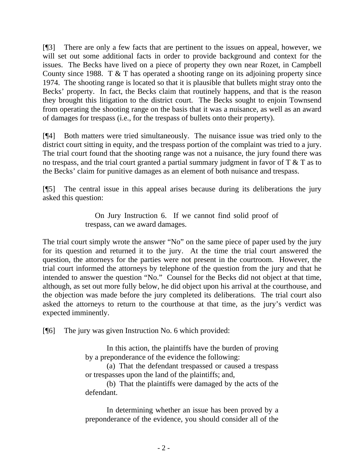[¶3] There are only a few facts that are pertinent to the issues on appeal, however, we will set out some additional facts in order to provide background and context for the issues. The Becks have lived on a piece of property they own near Rozet, in Campbell County since 1988. T & T has operated a shooting range on its adjoining property since 1974. The shooting range is located so that it is plausible that bullets might stray onto the Becks' property. In fact, the Becks claim that routinely happens, and that is the reason they brought this litigation to the district court. The Becks sought to enjoin Townsend from operating the shooting range on the basis that it was a nuisance, as well as an award of damages for trespass (i.e., for the trespass of bullets onto their property).

[¶4] Both matters were tried simultaneously. The nuisance issue was tried only to the district court sitting in equity, and the trespass portion of the complaint was tried to a jury. The trial court found that the shooting range was not a nuisance, the jury found there was no trespass, and the trial court granted a partial summary judgment in favor of  $T \& T$  as to the Becks' claim for punitive damages as an element of both nuisance and trespass.

[¶5] The central issue in this appeal arises because during its deliberations the jury asked this question:

> On Jury Instruction 6. If we cannot find solid proof of trespass, can we award damages.

The trial court simply wrote the answer "No" on the same piece of paper used by the jury for its question and returned it to the jury. At the time the trial court answered the question, the attorneys for the parties were not present in the courtroom. However, the trial court informed the attorneys by telephone of the question from the jury and that he intended to answer the question "No." Counsel for the Becks did not object at that time, although, as set out more fully below, he did object upon his arrival at the courthouse, and the objection was made before the jury completed its deliberations. The trial court also asked the attorneys to return to the courthouse at that time, as the jury's verdict was expected imminently.

[¶6] The jury was given Instruction No. 6 which provided:

In this action, the plaintiffs have the burden of proving by a preponderance of the evidence the following:

(a) That the defendant trespassed or caused a trespass or trespasses upon the land of the plaintiffs; and,

(b) That the plaintiffs were damaged by the acts of the defendant.

In determining whether an issue has been proved by a preponderance of the evidence, you should consider all of the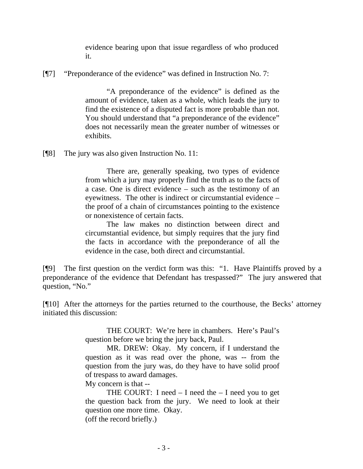evidence bearing upon that issue regardless of who produced it.

[¶7] "Preponderance of the evidence" was defined in Instruction No. 7:

"A preponderance of the evidence" is defined as the amount of evidence, taken as a whole, which leads the jury to find the existence of a disputed fact is more probable than not. You should understand that "a preponderance of the evidence" does not necessarily mean the greater number of witnesses or exhibits.

[¶8] The jury was also given Instruction No. 11:

There are, generally speaking, two types of evidence from which a jury may properly find the truth as to the facts of a case. One is direct evidence – such as the testimony of an eyewitness. The other is indirect or circumstantial evidence – the proof of a chain of circumstances pointing to the existence or nonexistence of certain facts.

The law makes no distinction between direct and circumstantial evidence, but simply requires that the jury find the facts in accordance with the preponderance of all the evidence in the case, both direct and circumstantial.

[¶9] The first question on the verdict form was this: "1. Have Plaintiffs proved by a preponderance of the evidence that Defendant has trespassed?" The jury answered that question, "No."

[¶10] After the attorneys for the parties returned to the courthouse, the Becks' attorney initiated this discussion:

> THE COURT: We're here in chambers. Here's Paul's question before we bring the jury back, Paul.

> MR. DREW: Okay. My concern, if I understand the question as it was read over the phone, was -- from the question from the jury was, do they have to have solid proof of trespass to award damages.

My concern is that --

THE COURT: I need  $-$  I need the  $-$  I need you to get the question back from the jury. We need to look at their question one more time. Okay. (off the record briefly.)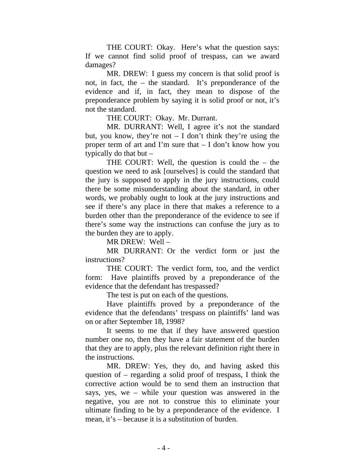THE COURT: Okay. Here's what the question says: If we cannot find solid proof of trespass, can we award damages?

MR. DREW: I guess my concern is that solid proof is not, in fact, the – the standard. It's preponderance of the evidence and if, in fact, they mean to dispose of the preponderance problem by saying it is solid proof or not, it's not the standard.

THE COURT: Okay. Mr. Durrant.

MR. DURRANT: Well, I agree it's not the standard but, you know, they're not  $- I$  don't think they're using the proper term of art and I'm sure that – I don't know how you typically do that but –

THE COURT: Well, the question is could the – the question we need to ask [ourselves] is could the standard that the jury is supposed to apply in the jury instructions, could there be some misunderstanding about the standard, in other words, we probably ought to look at the jury instructions and see if there's any place in there that makes a reference to a burden other than the preponderance of the evidence to see if there's some way the instructions can confuse the jury as to the burden they are to apply.

MR DREW: Well –

MR DURRANT: Or the verdict form or just the instructions?

THE COURT: The verdict form, too, and the verdict form: Have plaintiffs proved by a preponderance of the evidence that the defendant has trespassed?

The test is put on each of the questions.

Have plaintiffs proved by a preponderance of the evidence that the defendants' trespass on plaintiffs' land was on or after September 18, 1998?

It seems to me that if they have answered question number one no, then they have a fair statement of the burden that they are to apply, plus the relevant definition right there in the instructions.

MR. DREW: Yes, they do, and having asked this question of – regarding a solid proof of trespass, I think the corrective action would be to send them an instruction that says, yes, we – while your question was answered in the negative, you are not to construe this to eliminate your ultimate finding to be by a preponderance of the evidence. I mean, it's – because it is a substitution of burden.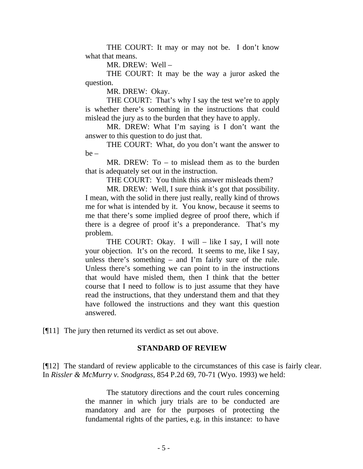THE COURT: It may or may not be. I don't know what that means.

MR. DREW: Well –

THE COURT: It may be the way a juror asked the question.

MR. DREW: Okay.

THE COURT: That's why I say the test we're to apply is whether there's something in the instructions that could mislead the jury as to the burden that they have to apply.

MR. DREW: What I'm saying is I don't want the answer to this question to do just that.

THE COURT: What, do you don't want the answer to be –

MR. DREW: To – to mislead them as to the burden that is adequately set out in the instruction.

THE COURT: You think this answer misleads them?

MR. DREW: Well, I sure think it's got that possibility. I mean, with the solid in there just really, really kind of throws me for what is intended by it. You know, because it seems to me that there's some implied degree of proof there, which if there is a degree of proof it's a preponderance. That's my problem.

THE COURT: Okay. I will - like I say, I will note your objection. It's on the record. It seems to me, like I say, unless there's something – and I'm fairly sure of the rule. Unless there's something we can point to in the instructions that would have misled them, then I think that the better course that I need to follow is to just assume that they have read the instructions, that they understand them and that they have followed the instructions and they want this question answered.

[¶11] The jury then returned its verdict as set out above.

#### **STANDARD OF REVIEW**

[¶12] The standard of review applicable to the circumstances of this case is fairly clear. In *Rissler & McMurry v. Snodgrass*, 854 P.2d 69, 70-71 (Wyo. 1993) we held:

> The statutory directions and the court rules concerning the manner in which jury trials are to be conducted are mandatory and are for the purposes of protecting the fundamental rights of the parties, e.g. in this instance: to have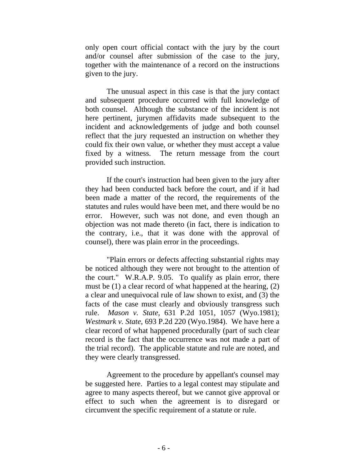only open court official contact with the jury by the court and/or counsel after submission of the case to the jury, together with the maintenance of a record on the instructions given to the jury.

The unusual aspect in this case is that the jury contact and subsequent procedure occurred with full knowledge of both counsel. Although the substance of the incident is not here pertinent, jurymen affidavits made subsequent to the incident and acknowledgements of judge and both counsel reflect that the jury requested an instruction on whether they could fix their own value, or whether they must accept a value fixed by a witness. The return message from the court provided such instruction.

If the court's instruction had been given to the jury after they had been conducted back before the court, and if it had been made a matter of the record, the requirements of the statutes and rules would have been met, and there would be no error. However, such was not done, and even though an objection was not made thereto (in fact, there is indication to the contrary, i.e., that it was done with the approval of counsel), there was plain error in the proceedings.

"Plain errors or defects affecting substantial rights may be noticed although they were not brought to the attention of the court." W.R.A.P. 9.05. To qualify as plain error, there must be (1) a clear record of what happened at the hearing, (2) a clear and unequivocal rule of law shown to exist, and (3) the facts of the case must clearly and obviously transgress such rule. *Mason v. State*, 631 P.2d 1051, 1057 (Wyo.1981); *Westmark v. State*, 693 P.2d 220 (Wyo.1984). We have here a clear record of what happened procedurally (part of such clear record is the fact that the occurrence was not made a part of the trial record). The applicable statute and rule are noted, and they were clearly transgressed.

Agreement to the procedure by appellant's counsel may be suggested here. Parties to a legal contest may stipulate and agree to many aspects thereof, but we cannot give approval or effect to such when the agreement is to disregard or circumvent the specific requirement of a statute or rule.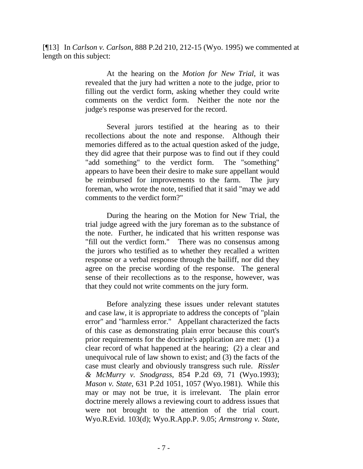[¶13] In *Carlson v. Carlson*, 888 P.2d 210, 212-15 (Wyo. 1995) we commented at length on this subject:

> At the hearing on the *Motion for New Trial*, it was revealed that the jury had written a note to the judge, prior to filling out the verdict form, asking whether they could write comments on the verdict form. Neither the note nor the judge's response was preserved for the record.

> Several jurors testified at the hearing as to their recollections about the note and response. Although their memories differed as to the actual question asked of the judge, they did agree that their purpose was to find out if they could "add something" to the verdict form. The "something" appears to have been their desire to make sure appellant would be reimbursed for improvements to the farm. The jury foreman, who wrote the note, testified that it said "may we add comments to the verdict form?"

> During the hearing on the Motion for New Trial, the trial judge agreed with the jury foreman as to the substance of the note. Further, he indicated that his written response was "fill out the verdict form." There was no consensus among the jurors who testified as to whether they recalled a written response or a verbal response through the bailiff, nor did they agree on the precise wording of the response. The general sense of their recollections as to the response, however, was that they could not write comments on the jury form.

> Before analyzing these issues under relevant statutes and case law, it is appropriate to address the concepts of "plain error" and "harmless error." Appellant characterized the facts of this case as demonstrating plain error because this court's prior requirements for the doctrine's application are met: (1) a clear record of what happened at the hearing; (2) a clear and unequivocal rule of law shown to exist; and (3) the facts of the case must clearly and obviously transgress such rule. *Rissler & McMurry v. Snodgrass*, 854 P.2d 69, 71 (Wyo.1993); *Mason v. State*, 631 P.2d 1051, 1057 (Wyo.1981). While this may or may not be true, it is irrelevant. The plain error doctrine merely allows a reviewing court to address issues that were not brought to the attention of the trial court. Wyo.R.Evid. 103(d); Wyo.R.App.P. 9.05; *Armstrong v. State*,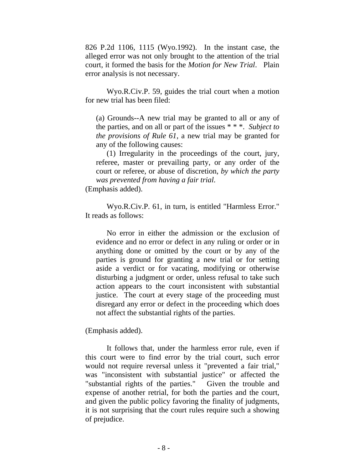826 P.2d 1106, 1115 (Wyo.1992). In the instant case, the alleged error was not only brought to the attention of the trial court, it formed the basis for the *Motion for New Trial*. Plain error analysis is not necessary.

Wyo.R.Civ.P. 59, guides the trial court when a motion for new trial has been filed:

(a) Grounds--A new trial may be granted to all or any of the parties, and on all or part of the issues \* \* \*. *Subject to the provisions of Rule 61*, a new trial may be granted for any of the following causes:

(1) Irregularity in the proceedings of the court, jury, referee, master or prevailing party, or any order of the court or referee, or abuse of discretion, *by which the party was prevented from having a fair trial*.

(Emphasis added).

Wyo.R.Civ.P. 61, in turn, is entitled "Harmless Error." It reads as follows:

No error in either the admission or the exclusion of evidence and no error or defect in any ruling or order or in anything done or omitted by the court or by any of the parties is ground for granting a new trial or for setting aside a verdict or for vacating, modifying or otherwise disturbing a judgment or order, unless refusal to take such action appears to the court inconsistent with substantial justice. The court at every stage of the proceeding must disregard any error or defect in the proceeding which does not affect the substantial rights of the parties.

(Emphasis added).

It follows that, under the harmless error rule, even if this court were to find error by the trial court, such error would not require reversal unless it "prevented a fair trial," was "inconsistent with substantial justice" or affected the "substantial rights of the parties." Given the trouble and expense of another retrial, for both the parties and the court, and given the public policy favoring the finality of judgments, it is not surprising that the court rules require such a showing of prejudice.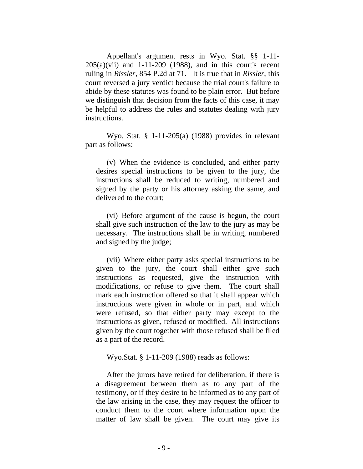Appellant's argument rests in Wyo. Stat. §§ 1-11-  $205(a)(vii)$  and  $1-11-209$  (1988), and in this court's recent ruling in *Rissler*, 854 P.2d at 71. It is true that in *Rissler*, this court reversed a jury verdict because the trial court's failure to abide by these statutes was found to be plain error. But before we distinguish that decision from the facts of this case, it may be helpful to address the rules and statutes dealing with jury instructions.

Wyo. Stat. § 1-11-205(a) (1988) provides in relevant part as follows:

(v) When the evidence is concluded, and either party desires special instructions to be given to the jury, the instructions shall be reduced to writing, numbered and signed by the party or his attorney asking the same, and delivered to the court;

(vi) Before argument of the cause is begun, the court shall give such instruction of the law to the jury as may be necessary. The instructions shall be in writing, numbered and signed by the judge;

(vii) Where either party asks special instructions to be given to the jury, the court shall either give such instructions as requested, give the instruction with modifications, or refuse to give them. The court shall mark each instruction offered so that it shall appear which instructions were given in whole or in part, and which were refused, so that either party may except to the instructions as given, refused or modified. All instructions given by the court together with those refused shall be filed as a part of the record.

Wyo.Stat. § 1-11-209 (1988) reads as follows:

After the jurors have retired for deliberation, if there is a disagreement between them as to any part of the testimony, or if they desire to be informed as to any part of the law arising in the case, they may request the officer to conduct them to the court where information upon the matter of law shall be given. The court may give its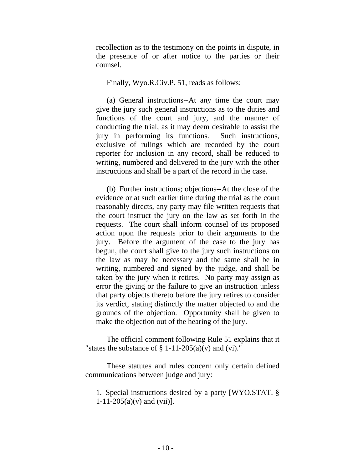recollection as to the testimony on the points in dispute, in the presence of or after notice to the parties or their counsel.

Finally, Wyo.R.Civ.P. 51, reads as follows:

(a) General instructions--At any time the court may give the jury such general instructions as to the duties and functions of the court and jury, and the manner of conducting the trial, as it may deem desirable to assist the jury in performing its functions. Such instructions, exclusive of rulings which are recorded by the court reporter for inclusion in any record, shall be reduced to writing, numbered and delivered to the jury with the other instructions and shall be a part of the record in the case.

(b) Further instructions; objections--At the close of the evidence or at such earlier time during the trial as the court reasonably directs, any party may file written requests that the court instruct the jury on the law as set forth in the requests. The court shall inform counsel of its proposed action upon the requests prior to their arguments to the jury. Before the argument of the case to the jury has begun, the court shall give to the jury such instructions on the law as may be necessary and the same shall be in writing, numbered and signed by the judge, and shall be taken by the jury when it retires. No party may assign as error the giving or the failure to give an instruction unless that party objects thereto before the jury retires to consider its verdict, stating distinctly the matter objected to and the grounds of the objection. Opportunity shall be given to make the objection out of the hearing of the jury.

The official comment following Rule 51 explains that it "states the substance of  $\S 1-11-205(a)(v)$  and (vi)."

These statutes and rules concern only certain defined communications between judge and jury:

1. Special instructions desired by a party [WYO.STAT. §  $1-11-205(a)(v)$  and  $(vii)$ ].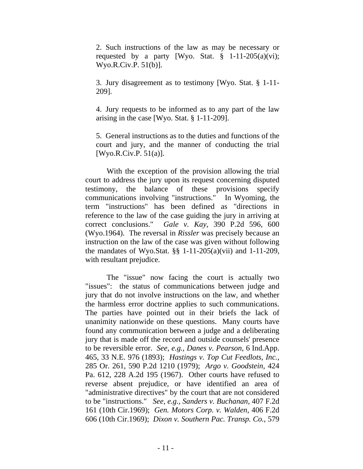2. Such instructions of the law as may be necessary or requested by a party [Wyo. Stat.  $\S$  1-11-205(a)(vi); Wyo.R.Civ.P. 51(b)].

3. Jury disagreement as to testimony [Wyo. Stat. § 1-11- 209].

4. Jury requests to be informed as to any part of the law arising in the case [Wyo. Stat. § 1-11-209].

5. General instructions as to the duties and functions of the court and jury, and the manner of conducting the trial [Wyo.R.Civ.P. 51(a)].

With the exception of the provision allowing the trial court to address the jury upon its request concerning disputed testimony, the balance of these provisions specify communications involving "instructions." In Wyoming, the term "instructions" has been defined as "directions in reference to the law of the case guiding the jury in arriving at correct conclusions." *Gale v. Kay*, 390 P.2d 596, 600 (Wyo.1964). The reversal in *Rissler* was precisely because an instruction on the law of the case was given without following the mandates of Wyo.Stat. §§ 1-11-205(a)(vii) and 1-11-209, with resultant prejudice.

The "issue" now facing the court is actually two "issues": the status of communications between judge and jury that do not involve instructions on the law, and whether the harmless error doctrine applies to such communications. The parties have pointed out in their briefs the lack of unanimity nationwide on these questions. Many courts have found any communication between a judge and a deliberating jury that is made off the record and outside counsels' presence to be reversible error. *See, e.g., Danes v. Pearson*, 6 Ind.App. 465, 33 N.E. 976 (1893); *Hastings v. Top Cut Feedlots, Inc.*, 285 Or. 261, 590 P.2d 1210 (1979); *Argo v. Goodstein*, 424 Pa. 612, 228 A.2d 195 (1967). Other courts have refused to reverse absent prejudice, or have identified an area of "administrative directives" by the court that are not considered to be "instructions." *See, e.g., Sanders v. Buchanan*, 407 F.2d 161 (10th Cir.1969); *Gen. Motors Corp. v. Walden*, 406 F.2d 606 (10th Cir.1969); *Dixon v. Southern Pac. Transp. Co.*, 579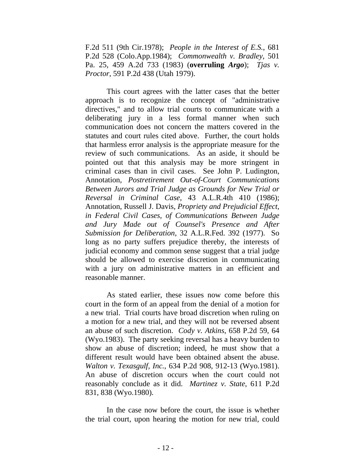F.2d 511 (9th Cir.1978); *People in the Interest of E.S.*, 681 P.2d 528 (Colo.App.1984); *Commonwealth v. Bradley*, 501 Pa. 25, 459 A.2d 733 (1983) (**overruling** *Argo*); *Tjas v. Proctor*, 591 P.2d 438 (Utah 1979).

This court agrees with the latter cases that the better approach is to recognize the concept of "administrative directives," and to allow trial courts to communicate with a deliberating jury in a less formal manner when such communication does not concern the matters covered in the statutes and court rules cited above. Further, the court holds that harmless error analysis is the appropriate measure for the review of such communications. As an aside, it should be pointed out that this analysis may be more stringent in criminal cases than in civil cases. See John P. Ludington, Annotation, *Postretirement Out-of-Court Communications Between Jurors and Trial Judge as Grounds for New Trial or Reversal in Criminal Case*, 43 A.L.R.4th 410 (1986); Annotation, Russell J. Davis, *Propriety and Prejudicial Effect, in Federal Civil Cases, of Communications Between Judge and Jury Made out of Counsel's Presence and After Submission for Deliberation*, 32 A.L.R.Fed. 392 (1977). So long as no party suffers prejudice thereby, the interests of judicial economy and common sense suggest that a trial judge should be allowed to exercise discretion in communicating with a jury on administrative matters in an efficient and reasonable manner.

As stated earlier, these issues now come before this court in the form of an appeal from the denial of a motion for a new trial. Trial courts have broad discretion when ruling on a motion for a new trial, and they will not be reversed absent an abuse of such discretion. *Cody v. Atkins*, 658 P.2d 59, 64 (Wyo.1983). The party seeking reversal has a heavy burden to show an abuse of discretion; indeed, he must show that a different result would have been obtained absent the abuse. *Walton v. Texasgulf, Inc.*, 634 P.2d 908, 912-13 (Wyo.1981). An abuse of discretion occurs when the court could not reasonably conclude as it did. *Martinez v. State*, 611 P.2d 831, 838 (Wyo.1980).

In the case now before the court, the issue is whether the trial court, upon hearing the motion for new trial, could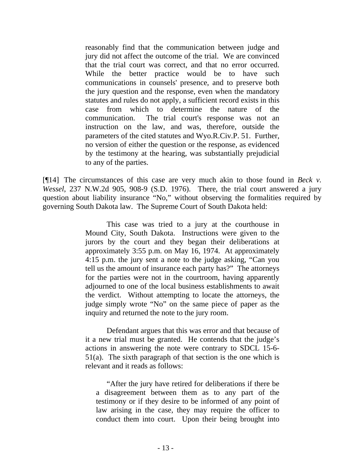reasonably find that the communication between judge and jury did not affect the outcome of the trial. We are convinced that the trial court was correct, and that no error occurred. While the better practice would be to have such communications in counsels' presence, and to preserve both the jury question and the response, even when the mandatory statutes and rules do not apply, a sufficient record exists in this case from which to determine the nature of the communication. The trial court's response was not an instruction on the law, and was, therefore, outside the parameters of the cited statutes and Wyo.R.Civ.P. 51. Further, no version of either the question or the response, as evidenced by the testimony at the hearing, was substantially prejudicial to any of the parties.

[¶14] The circumstances of this case are very much akin to those found in *Beck v. Wessel*, 237 N.W.2d 905, 908-9 (S.D. 1976). There, the trial court answered a jury question about liability insurance "No," without observing the formalities required by governing South Dakota law. The Supreme Court of South Dakota held:

> This case was tried to a jury at the courthouse in Mound City, South Dakota. Instructions were given to the jurors by the court and they began their deliberations at approximately 3:55 p.m. on May 16, 1974. At approximately 4:15 p.m. the jury sent a note to the judge asking, "Can you tell us the amount of insurance each party has?" The attorneys for the parties were not in the courtroom, having apparently adjourned to one of the local business establishments to await the verdict. Without attempting to locate the attorneys, the judge simply wrote "No" on the same piece of paper as the inquiry and returned the note to the jury room.

> Defendant argues that this was error and that because of it a new trial must be granted. He contends that the judge's actions in answering the note were contrary to SDCL 15-6- 51(a). The sixth paragraph of that section is the one which is relevant and it reads as follows:

"After the jury have retired for deliberations if there be a disagreement between them as to any part of the testimony or if they desire to be informed of any point of law arising in the case, they may require the officer to conduct them into court. Upon their being brought into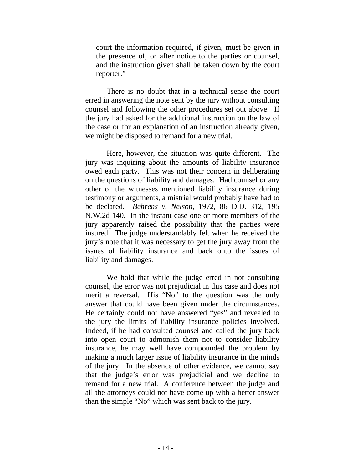court the information required, if given, must be given in the presence of, or after notice to the parties or counsel, and the instruction given shall be taken down by the court reporter."

There is no doubt that in a technical sense the court erred in answering the note sent by the jury without consulting counsel and following the other procedures set out above. If the jury had asked for the additional instruction on the law of the case or for an explanation of an instruction already given, we might be disposed to remand for a new trial.

Here, however, the situation was quite different. The jury was inquiring about the amounts of liability insurance owed each party. This was not their concern in deliberating on the questions of liability and damages. Had counsel or any other of the witnesses mentioned liability insurance during testimony or arguments, a mistrial would probably have had to be declared. *Behrens v. Nelson*, 1972, 86 D.D. 312, 195 N.W.2d 140. In the instant case one or more members of the jury apparently raised the possibility that the parties were insured. The judge understandably felt when he received the jury's note that it was necessary to get the jury away from the issues of liability insurance and back onto the issues of liability and damages.

We hold that while the judge erred in not consulting counsel, the error was not prejudicial in this case and does not merit a reversal. His "No" to the question was the only answer that could have been given under the circumstances. He certainly could not have answered "yes" and revealed to the jury the limits of liability insurance policies involved. Indeed, if he had consulted counsel and called the jury back into open court to admonish them not to consider liability insurance, he may well have compounded the problem by making a much larger issue of liability insurance in the minds of the jury. In the absence of other evidence, we cannot say that the judge's error was prejudicial and we decline to remand for a new trial. A conference between the judge and all the attorneys could not have come up with a better answer than the simple "No" which was sent back to the jury.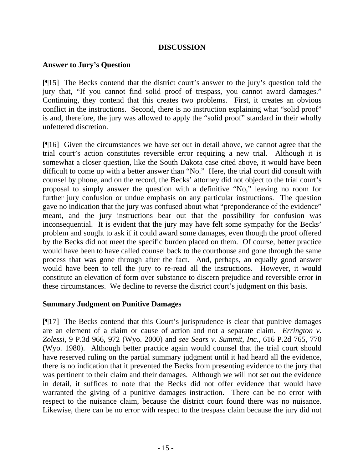## **DISCUSSION**

### **Answer to Jury's Question**

[¶15] The Becks contend that the district court's answer to the jury's question told the jury that, "If you cannot find solid proof of trespass, you cannot award damages." Continuing, they contend that this creates two problems. First, it creates an obvious conflict in the instructions. Second, there is no instruction explaining what "solid proof" is and, therefore, the jury was allowed to apply the "solid proof" standard in their wholly unfettered discretion.

[¶16] Given the circumstances we have set out in detail above, we cannot agree that the trial court's action constitutes reversible error requiring a new trial. Although it is somewhat a closer question, like the South Dakota case cited above, it would have been difficult to come up with a better answer than "No." Here, the trial court did consult with counsel by phone, and on the record, the Becks' attorney did not object to the trial court's proposal to simply answer the question with a definitive "No," leaving no room for further jury confusion or undue emphasis on any particular instructions. The question gave no indication that the jury was confused about what "preponderance of the evidence" meant, and the jury instructions bear out that the possibility for confusion was inconsequential. It is evident that the jury may have felt some sympathy for the Becks' problem and sought to ask if it could award some damages, even though the proof offered by the Becks did not meet the specific burden placed on them. Of course, better practice would have been to have called counsel back to the courthouse and gone through the same process that was gone through after the fact. And, perhaps, an equally good answer would have been to tell the jury to re-read all the instructions. However, it would constitute an elevation of form over substance to discern prejudice and reversible error in these circumstances. We decline to reverse the district court's judgment on this basis.

### **Summary Judgment on Punitive Damages**

[¶17] The Becks contend that this Court's jurisprudence is clear that punitive damages are an element of a claim or cause of action and not a separate claim. *Errington v. Zolessi*, 9 P.3d 966, 972 (Wyo. 2000) and *see Sears v. Summit, Inc.*, 616 P.2d 765, 770 (Wyo. 1980). Although better practice again would counsel that the trial court should have reserved ruling on the partial summary judgment until it had heard all the evidence, there is no indication that it prevented the Becks from presenting evidence to the jury that was pertinent to their claim and their damages. Although we will not set out the evidence in detail, it suffices to note that the Becks did not offer evidence that would have warranted the giving of a punitive damages instruction. There can be no error with respect to the nuisance claim, because the district court found there was no nuisance. Likewise, there can be no error with respect to the trespass claim because the jury did not